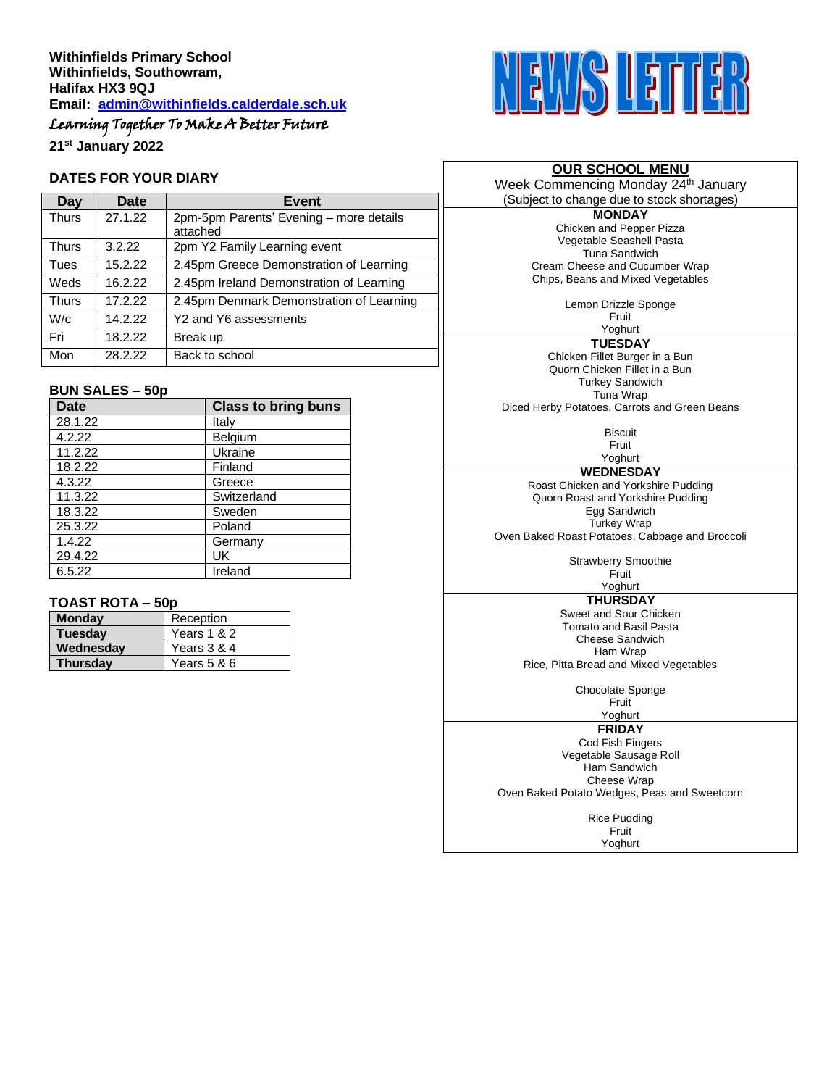# Learning Together To Make A Better Future

**21st January 2022**

### **DATES FOR YOUR DIARY**

| Day          | Date    | Event                                               |  |
|--------------|---------|-----------------------------------------------------|--|
| <b>Thurs</b> | 27.1.22 | 2pm-5pm Parents' Evening - more details<br>attached |  |
| <b>Thurs</b> | 3.2.22  | 2pm Y2 Family Learning event                        |  |
| Tues         | 15.2.22 | 2.45pm Greece Demonstration of Learning             |  |
| Weds         | 16.2.22 | 2.45pm Ireland Demonstration of Learning            |  |
| <b>Thurs</b> | 17.2.22 | 2.45pm Denmark Demonstration of Learning            |  |
| W/c          | 14.2.22 | Y2 and Y6 assessments                               |  |
| Fri          | 18.2.22 | Break up                                            |  |
| Mon          | 28.2.22 | Back to school                                      |  |

### **BUN SALES – 50p**

| <b>Date</b> | <b>Class to bring buns</b> |
|-------------|----------------------------|
| 28.1.22     | Italy                      |
| 4.2.22      | Belgium                    |
| 11.2.22     | Ukraine                    |
| 18.2.22     | Finland                    |
| 4.3.22      | Greece                     |
| 11.3.22     | Switzerland                |
| 18.3.22     | Sweden                     |
| 25.3.22     | Poland                     |
| 1.4.22      | Germany                    |
| 29.4.22     | UK                         |
| 6.5.22      | Ireland                    |

### **TOAST ROTA – 50p**

| - - - - - - - - |             |  |
|-----------------|-------------|--|
| <b>Monday</b>   | Reception   |  |
| <b>Tuesday</b>  | Years 1 & 2 |  |
| Wednesday       | Years 3 & 4 |  |
| <b>Thursday</b> | Years 5 & 6 |  |



### **OUR SCHOOL MENU**

Week Commencing Monday 24<sup>th</sup> January (Subject to change due to stock shortages)

> **MONDAY** Chicken and Pepper Pizza Vegetable Seashell Pasta Tuna Sandwich Cream Cheese and Cucumber Wrap Chips, Beans and Mixed Vegetables

> > Lemon Drizzle Sponge

Fruit Yoghurt

**TUESDAY** Chicken Fillet Burger in a Bun Quorn Chicken Fillet in a Bun Turkey Sandwich Tuna Wrap Diced Herby Potatoes, Carrots and Green Beans

> **Biscuit** Fruit Yoghurt

**WEDNESDAY**

Roast Chicken and Yorkshire Pudding Quorn Roast and Yorkshire Pudding Egg Sandwich Turkey Wrap Oven Baked Roast Potatoes, Cabbage and Broccoli

> Strawberry Smoothie Fruit

# Yoghurt

**THURSDAY** Sweet and Sour Chicken Tomato and Basil Pasta Cheese Sandwich Ham Wrap Rice, Pitta Bread and Mixed Vegetables

Chocolate Sponge Fruit

Yoghurt

**FRIDAY**

Cod Fish Fingers Vegetable Sausage Roll Ham Sandwich Cheese Wrap Oven Baked Potato Wedges, Peas and Sweetcorn

> Rice Pudding Fruit Yoghurt